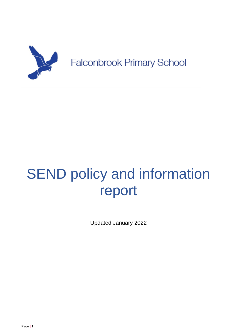

# SEND policy and information report

Updated January 2022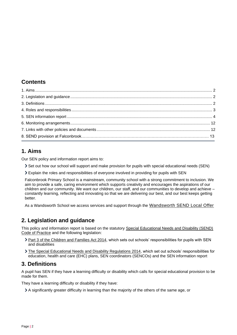# **Contents**

# <span id="page-1-0"></span>**1. Aims**

Our SEN policy and information report aims to:

Set out how our school will support and make provision for pupils with special educational needs (SEN)

Explain the roles and responsibilities of everyone involved in providing for pupils with SEN

Falconbrook Primary School is a mainstream, community school with a strong commitment to inclusion. We aim to provide a safe, caring environment which supports creativity and encourages the aspirations of our children and our community. We want our children, our staff, and our communities to develop and achieve – constantly learning, reflecting and innovating so that we are delivering our best, and our best keeps getting better.

As a Wandsworth School we access services and support through the [Wandsworth SEND Local Offer](https://thrive.wandsworth.gov.uk/kb5/wandsworth/fsd/home.page)

# <span id="page-1-1"></span>**2. Legislation and guidance**

This policy and information report is based on the statutory [Special Educational Needs and Disability \(SEND\)](https://www.gov.uk/government/uploads/system/uploads/attachment_data/file/398815/SEND_Code_of_Practice_January_2015.pdf)  [Code of Practice](https://www.gov.uk/government/uploads/system/uploads/attachment_data/file/398815/SEND_Code_of_Practice_January_2015.pdf) and the following legislation:

- [Part 3 of the Children and Families Act 2014,](http://www.legislation.gov.uk/ukpga/2014/6/part/3) which sets out schools' responsibilities for pupils with SEN and disabilities
- [The Special Educational Needs and Disability Regulations 2014,](http://www.legislation.gov.uk/uksi/2014/1530/contents/made) which set out schools' responsibilities for education, health and care (EHC) plans, SEN coordinators (SENCOs) and the SEN information report

# <span id="page-1-2"></span>**3. Definitions**

A pupil has SEN if they have a learning difficulty or disability which calls for special educational provision to be made for them.

They have a learning difficulty or disability if they have:

A significantly greater difficulty in learning than the majority of the others of the same age, or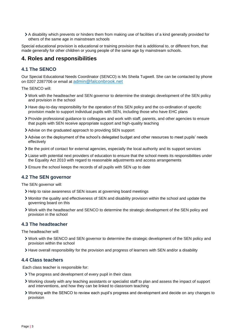A disability which prevents or hinders them from making use of facilities of a kind generally provided for others of the same age in mainstream schools

Special educational provision is educational or training provision that is additional to, or different from, that made generally for other children or young people of the same age by mainstream schools.

## <span id="page-2-0"></span>**4. Roles and responsibilities**

## **4.1 The SENCO**

Our Special Educational Needs Coordinator (SENCO) is Ms Sheila Tugwell. She can be contacted by phone on 0207 2287706 or email at [admin@falconbrook.net](mailto:admin@falconbrook.net)

The SENCO will:

- Work with the headteacher and SEN governor to determine the strategic development of the SEN policy and provision in the school
- Have day-to-day responsibility for the operation of this SEN policy and the co-ordination of specific provision made to support individual pupils with SEN, including those who have EHC plans
- Provide professional guidance to colleagues and work with staff, parents, and other agencies to ensure that pupils with SEN receive appropriate support and high-quality teaching
- Advise on the graduated approach to providing SEN support
- Advise on the deployment of the school's delegated budget and other resources to meet pupils' needs effectively
- Be the point of contact for external agencies, especially the local authority and its support services
- Liaise with potential next providers of education to ensure that the school meets its responsibilities under the Equality Act 2010 with regard to reasonable adjustments and access arrangements
- Ensure the school keeps the records of all pupils with SEN up to date

### **4.2 The SEN governor**

The SEN governor will:

- Help to raise awareness of SEN issues at governing board meetings
- Monitor the quality and effectiveness of SEN and disability provision within the school and update the governing board on this
- Work with the headteacher and SENCO to determine the strategic development of the SEN policy and provision in the school

#### **4.3 The headteacher**

The headteacher will:

- Work with the SENCO and SEN governor to determine the strategic development of the SEN policy and provision within the school
- Have overall responsibility for the provision and progress of learners with SEN and/or a disability

#### **4.4 Class teachers**

Each class teacher is responsible for:

- The progress and development of every pupil in their class
- Working closely with any teaching assistants or specialist staff to plan and assess the impact of support and interventions, and how they can be linked to classroom teaching
- Working with the SENCO to review each pupil's progress and development and decide on any changes to provision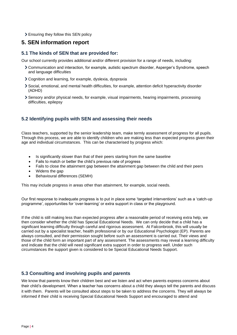Ensuring they follow this SEN policy

# <span id="page-3-0"></span>**5. SEN information report**

## **5.1 The kinds of SEN that are provided for:**

Our school currently provides additional and/or different provision for a range of needs, including:

- Communication and interaction, for example, autistic spectrum disorder, Asperger's Syndrome, speech and language difficulties
- Cognition and learning, for example, dyslexia, dyspraxia
- Social, emotional, and mental health difficulties, for example, attention deficit hyperactivity disorder (ADHD)
- Sensory and/or physical needs, for example, visual impairments, hearing impairments, processing difficulties, epilepsy

## **5.2 Identifying pupils with SEN and assessing their needs**

Class teachers, supported by the senior leadership team, make termly assessment of progress for all pupils. Through this process, we are able to identify children who are making less than expected progress given their age and individual circumstances. This can be characterised by progress which:

- Is significantly slower than that of their peers starting from the same baseline
- Fails to match or better the child's previous rate of progress
- Fails to close the attainment gap between the attainment gap between the child and their peers
- Widens the gap
- Behavioural differences (SEMH)

This may include progress in areas other than attainment, for example, social needs.

Our first response to inadequate progress is to put in place some 'targeted interventions' such as a 'catch-up programme', opportunities for 'over-learning' or extra support in class or the playground.

If the child is still making less than expected progress after a reasonable period of receiving extra help, we then consider whether the child has Special Educational Needs. We can only decide that a child has a significant learning difficulty through careful and rigorous assessment. At Falconbrook, this will usually be carried out by a specialist teacher, health professional or by our Educational Psychologist (EP). Parents are always consulted, and their permission sought before such an assessment is carried out. Their views and those of the child form an important part of any assessment. The assessments may reveal a learning difficulty and indicate that the child will need significant extra support in order to progress well. Under such circumstances the support given is considered to be Special Educational Needs Support.

## **5.3 Consulting and involving pupils and parents**

We know that parents know their children best and we listen and act when parents express concerns about their child's development. When a teacher has concerns about a child they always tell the parents and discuss it with them. Parents will be consulted about steps to be taken to address the concerns. They will always be informed if their child is receiving Special Educational Needs Support and encouraged to attend and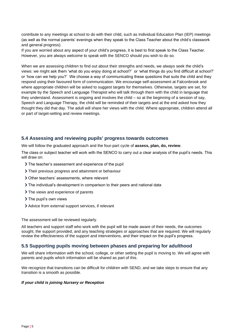contribute to any meetings at school to do with their child, such as Individual Education Plan (IEP) meetings (as well as the normal parents' evenings when they speak to the Class Teacher about the child's classwork and general progress).

If you are worried about any aspect of your child's progress, it is best to first speak to the Class Teacher. However, you are always welcome to speak with the SENCO should you wish to do so.

When we are assessing children to find out about their strengths and needs, we always seek the child's views: we might ask them 'what do you enjoy doing at school?' or 'what things do you find difficult at school?' or 'how can we help you?' We choose a way of communicating these questions that suits the child and they respond using their favoured form of communication. We encourage self-assessment at Falconbrook and where appropriate children will be asked to suggest targets for themselves. Otherwise, targets are set, for example by the Speech and Language Therapist who will talk through them with the child in language that they understand. Assessment is ongoing and involves the child – so at the beginning of a session of say, Speech and Language Therapy, the child will be reminded of their targets and at the end asked how they thought they did that day. The adult will share her views with the child. Where appropriate, children attend all or part of target-setting and review meetings.

### **5.4 Assessing and reviewing pupils' progress towards outcomes**

We will follow the graduated approach and the four-part cycle of **assess, plan, do, review**.

The class or subject teacher will work with the SENCO to carry out a clear analysis of the pupil's needs. This will draw on:

- The teacher's assessment and experience of the pupil
- Their previous progress and attainment or behaviour
- Other teachers' assessments, where relevant
- The individual's development in comparison to their peers and national data
- > The views and experience of parents
- > The pupil's own views
- Advice from external support services, if relevant

The assessment will be reviewed regularly.

All teachers and support staff who work with the pupil will be made aware of their needs, the outcomes sought, the support provided, and any teaching strategies or approaches that are required. We will regularly review the effectiveness of the support and interventions, and their impact on the pupil's progress.

## **5.5 Supporting pupils moving between phases and preparing for adulthood**

We will share information with the school, college, or other setting the pupil is moving to. We will agree with parents and pupils which information will be shared as part of this.

We recognize that transitions can be difficult for children with SEND, and we take steps to ensure that any transition is a smooth as possible.

#### *If your child is joining Nursery or Reception*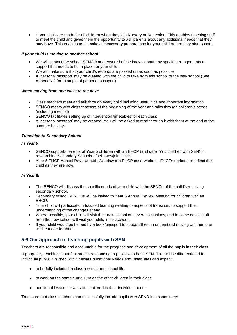• Home visits are made for all children when they join Nursery or Reception. This enables teaching staff to meet the child and gives them the opportunity to ask parents about any additional needs that they may have. This enables us to make all necessary preparations for your child before they start school.

#### *If your child is moving to another school:*

- We will contact the school SENCO and ensure he/she knows about any special arrangements or support that needs to be in place for your child.
- We will make sure that your child's records are passed on as soon as possible.
- A 'personal passport' may be created with the child to take from this school to the new school (See Appendix 3 for example of personal passport).

#### *When moving from one class to the next:*

- Class teachers meet and talk through every child including useful tips and important information
- SENCO meets with class teachers at the beginning of the year and talks through children's needs (including medical)
- SENCO facilitates setting up of intervention timetables for each class
- A 'personal passport' may be created. You will be asked to read through it with them at the end of the summer holiday.

#### *Transition to Secondary School*

#### *In Year 5*

- SENCO supports parents of Year 5 children with an EHCP (and other Yr 5 children with SEN) in researching Secondary Schools - facilitates/joins visits.
- Year 5 EHCP Annual Reviews with Wandsworth EHCP case-worker EHCPs updated to reflect the child as they are now.

#### *In Year 6:*

- The SENCO will discuss the specific needs of your child with the SENCo of the child's receiving secondary school.
- Secondary school SENCOs will be invited to Year 6 Annual Review Meeting for children with an EHCP.
- Your child will participate in focused learning relating to aspects of transition, to support their understanding of the changes ahead.
- Where possible, your child will visit their new school on several occasions, and in some cases staff from the new school will visit your child in this school.
- If your child would be helped by a book/passport to support them in understand moving on, then one will be made for them.

## **5.6 Our approach to teaching pupils with SEN**

Teachers are responsible and accountable for the progress and development of all the pupils in their class.

High-quality teaching is our first step in responding to pupils who have SEN. This will be differentiated for individual pupils. Children with Special Educational Needs and Disabilities can expect:

- to be fully included in class lessons and school life
- to work on the same curriculum as the other children in their class
- additional lessons or activities, tailored to their individual needs

To ensure that class teachers can successfully include pupils with SEND in lessons they: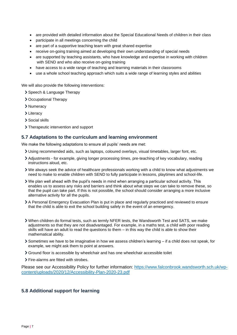- are provided with detailed information about the Special Educational Needs of children in their class
- participate in all meetings concerning the child
- are part of a supportive teaching team with great shared expertise
- receive on-going training aimed at developing their own understanding of special needs
- are supported by teaching assistants, who have knowledge and expertise in working with children with SEND and who also receive on-going training
- have access to a wide range of teaching and learning materials in their classrooms
- use a whole school teaching approach which suits a wide range of learning styles and abilities

We will also provide the following interventions:

- > Speech & Language Therapy
- Occupational Therapy
- > Numeracy
- > Literacy
- Social skills
- > Therapeutic intervention and support

### **5.7 Adaptations to the curriculum and learning environment**

We make the following adaptations to ensure all pupils' needs are met:

- Using recommended aids, such as laptops, coloured overlays, visual timetables, larger font, etc.
- Adjustments for example, giving longer processing times, pre-teaching of key vocabulary, reading instructions aloud, etc.
- We always seek the advice of healthcare professionals working with a child to know what adjustments we need to make to enable children with SEND to fully participate in lessons, playtimes and school-life.
- We plan well ahead with the pupil's needs in mind when arranging a particular school activity. This enables us to assess any risks and barriers and think about what steps we can take to remove these, so that the pupil can take part. If this is not possible, the school should consider arranging a more inclusive alternative activity for all the pupils.
- A Personal Emergency Evacuation Plan is put in place and regularly practiced and reviewed to ensure that the child is able to exit the school building safely in the event of an emergency.
- When children do formal tests, such as termly NFER tests, the Wandsworth Test and SATS, we make adjustments so that they are not disadvantaged. For example, in a maths test, a child with poor reading skills will have an adult to read the questions to them – in this way the child is able to show their mathematical ability.
- Sometimes we have to be imaginative in how we assess children's learning if a child does not speak, for example, we might ask them to point at answers.
- Ground floor is accessible by wheelchair and has one wheelchair accessible toilet
- > Fire-alarms are fitted with strobes.

Please see our Accessibility Policy for further information: [https://www.falconbrook.wandsworth.sch.uk/wp](https://www.falconbrook.wandsworth.sch.uk/wp-content/uploads/2020/12/Accessibility-Plan-2020-23.pdf)[content/uploads/2020/12/Accessibility-Plan-2020-23.pdf](https://www.falconbrook.wandsworth.sch.uk/wp-content/uploads/2020/12/Accessibility-Plan-2020-23.pdf)

## **5.8 Additional support for learning**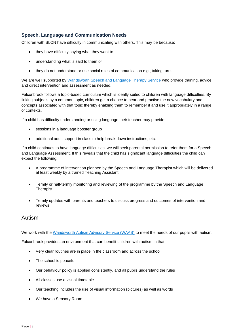## **Speech, Language and Communication Needs**

Children with SLCN have difficulty in communicating with others. This may be because:

- they have difficulty saying what they want to
- understanding what is said to them *or*
- they do not understand or use social rules of communication e.g., taking turns

We are well supported by [Wandsworth Speech and Language Therapy Service](https://thrive.wandsworth.gov.uk/kb5/wandsworth/fsd/service.page?id=fVXLVW90mZg&familychannel=0) who provide training, advice and direct intervention and assessment as needed.

Falconbrook follows a topic-based curriculum which is ideally suited to children with language difficulties. By linking subjects by a common topic, children get a chance to hear and practise the new vocabulary and concepts associated with that topic thereby enabling them to remember it and use it appropriately in a range of contexts.

If a child has difficulty understanding or using language their teacher may provide:

- sessions in a language booster group
- additional adult support in class to help break down instructions, etc.

If a child continues to have language difficulties, we will seek parental permission to refer them for a Speech and Language Assessment. If this reveals that the child has significant language difficulties the child can expect the following:

- A programme of intervention planned by the Speech and Language Therapist which will be delivered at least weekly by a trained Teaching Assistant.
- Termly or half-termly monitoring and reviewing of the programme by the Speech and Language Therapist
- Termly updates with parents and teachers to discuss progress and outcomes of intervention and reviews

## Autism

We work with the [Wandsworth Autism Advisory Service \(WAAS\)](https://thrive.wandsworth.gov.uk/kb5/wandsworth/fsd/service.page?id=q2Hxo3YORJk&familychannel=0) to meet the needs of our pupils with autism.

Falconbrook provides an environment that can benefit children with autism in that:

- Very clear routines are in place in the classroom and across the school
- The school is peaceful
- Our behaviour policy is applied consistently, and all pupils understand the rules
- All classes use a visual timetable
- Our teaching includes the use of visual information (pictures) as well as words
- We have a Sensory Room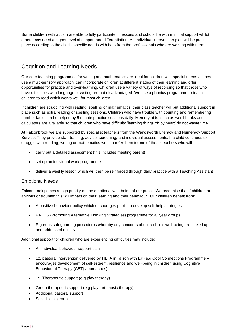Some children with autism are able to fully participate in lessons and school life with minimal support whilst others may need a higher level of support and differentiation. An individual intervention plan will be put in place according to the child's specific needs with help from the professionals who are working with them.

# Cognition and Learning Needs

Our core teaching programmes for writing and mathematics are ideal for children with special needs as they use a multi-sensory approach, can incorporate children at different stages of their learning and offer opportunities for practice and over-learning. Children use a variety of ways of recording so that those who have difficulties with language or writing are not disadvantaged. We use a phonics programme to teach children to read which works well for most children.

If children are struggling with reading, spelling or mathematics, their class teacher will put additional support in place such as extra reading or spelling sessions. Children who have trouble with counting and remembering number facts can be helped by 5 minute practice sessions daily. Memory aids, such as word-banks and calculators are available so that children who have difficulty 'learning things off by heart' do not waste time.

At Falconbrook we are supported by specialist teachers from the Wandsworth Literacy and Numeracy Support Service. They provide staff-training, advice, screening, and individual assessments. If a child continues to struggle with reading, writing or mathematics we can refer them to one of these teachers who will:

- carry out a detailed assessment (this includes meeting parent)
- set up an individual work programme
- deliver a weekly lesson which will then be reinforced through daily practice with a Teaching Assistant

### Emotional Needs

Falconbrook places a high priority on the emotional well-being of our pupils. We recognise that if children are anxious or troubled this will impact on their learning and their behaviour. Our children benefit from:

- A positive behaviour policy which encourages pupils to develop self-help strategies.
- PATHS (Promoting Alternative Thinking Strategies) programme for all year groups.
- Rigorous safeguarding procedures whereby any concerns about a child's well-being are picked up and addressed quickly.

Additional support for children who are experiencing difficulties may include:

- An individual behaviour support plan
- 1:1 pastoral intervention delivered by HLTA in liaison with EP (e.g Cool Connections Programme encourages development of self-esteem, resilience and well-being in children using Cognitive Behavioural Therapy (CBT) approaches)
- 1:1 Therapeutic support (e.g play therapy)
- Group therapeutic support (e.g play, art, music therapy)
- Additional pastoral support
- Social skills group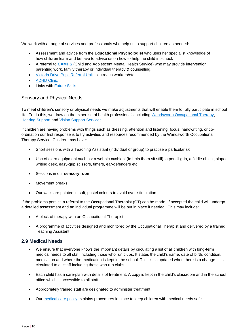We work with a range of services and professionals who help us to support children as needed:

- Assessment and advice from the **Educational Psychologist** who uses her specialist knowledge of how children learn and behave to advise us on how to help the child in school.
- A referral to **[CAMHS](https://thrive.wandsworth.gov.uk/kb5/wandsworth/fsd/service.page?id=230sInQ1lqs&familychannel=0)** (Child and Adolescent Mental Health Service) who may provide intervention: parenting work, family therapy or individual therapy & counselling.
- [Victoria Drive Pupil Referral Unit](https://thrive.wandsworth.gov.uk/kb5/wandsworth/fsd/service.page?id=...) outreach workers/etc
- **[ADHD Clinic](https://thrive.wandsworth.gov.uk/kb5/wandsworth/fsd/service.page?id=2keDsBTo2Ck&familychannel=2-4-11)**
- Links with [Future Skills](https://thrive.wandsworth.gov.uk/kb5/wandsworth/fsd/service.page?id=J_V1vNOTw5Q&familychannel=0)

### Sensory and Physical Needs

To meet children's sensory or physical needs we make adjustments that will enable them to fully participate in school life. To do this, we draw on the expertise of health professionals including [Wandsworth Occupational Therapy,](https://thrive.wandsworth.gov.uk/kb5/wandsworth/fsd/service.page?id=sVr83bz7J-4&familychannel=0) [Hearing Support](https://thrive.wandsworth.gov.uk/kb5/wandsworth/fsd/service.page?id=h1DHCyk-1mk&familychannel=0) and [Vision Support Services.](https://thrive.wandsworth.gov.uk/kb5/wandsworth/fsd/service.page?id=T0N779mg9hU&familychannel=0)

If children are having problems with things such as dressing, attention and listening, focus, handwriting, or coordination our first response is to try activities and resources recommended by the Wandsworth Occupational Therapy Service. Children may have:

- Short sessions with a Teaching Assistant (individual or group) to practise a particular skill
- Use of extra equipment such as: a wobble cushion' (to help them sit still), a pencil grip, a fiddle object, sloped writing desk, easy-grip scissors, timers, ear-defenders etc.
- Sessions in our **sensory room**
- Movement breaks
- Our walls are painted in soft, pastel colours to avoid over-stimulation.

If the problems persist, a referral to the Occupational Therapist (OT) can be made. If accepted the child will undergo a detailed assessment and an individual programme will be put in place if needed. This may include:

- A block of therapy with an Occupational Therapist
- A programme of activities designed and monitored by the Occupational Therapist and delivered by a trained Teaching Assistant.

### **2.9 Medical Needs**

- We ensure that everyone knows the important details by circulating a list of all children with long-term medical needs to all staff including those who run clubs. It states the child's name, date of birth, condition, medication and where the medication is kept in the school. This list is updated when there is a change. It is circulated to all staff including those who run clubs.
- Each child has a care-plan with details of treatment. A copy is kept in the child's classroom and in the school office which is accessible to all staff.
- Appropriately trained staff are designated to administer treatment.
- Our [medical care policy](https://www.falconbrook.wandsworth.sch.uk/wp-content/uploads/2020/12/Medical-Care-policy.pdf) explains procedures in place to keep children with medical needs safe.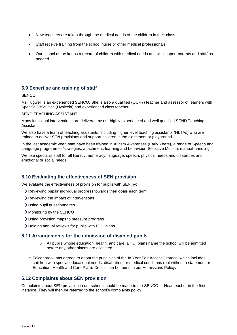- New teachers are taken through the medical needs of the children in their class.
- Staff receive training from the school nurse or other medical professionals.
- Our school nurse keeps a record of children with medical needs and will support parents and staff as needed.

## **5.9 Expertise and training of staff**

#### **SENCO**

Ms Tugwell is an experienced SENCO. She is also a qualified (OCR7) teacher and assessor of learners with Specific Difficulties (Dyslexia) and experienced class teacher.

#### SEND TEACHING ASSISTANT

Many individual interventions are delivered by our highly experienced and well qualified SEND Teaching Assistant.

We also have a team of teaching assistants, including higher level teaching assistants (HLTAs) who are trained to deliver SEN provisions and support children in the classroom or playground.

In the last academic year, staff have been trained in Autism Awareness (Early Years), a range of Speech and Language programmes/strategies, attachment, learning and behaviour, Selective Mutism, manual-handling.

We use specialist staff for all literacy, numeracy, language, speech, physical needs and disabilities and emotional or social needs.

### **5.10 Evaluating the effectiveness of SEN provision**

We evaluate the effectiveness of provision for pupils with SEN by:

- Reviewing pupils' individual progress towards their goals each term
- > Reviewing the impact of interventions
- Using pupil questionnaires
- > Monitoring by the SENCO
- Using provision maps to measure progress
- Holding annual reviews for pupils with EHC plans

#### **5.11 Arrangements for the admission of disabled pupils**

- $\circ$  All pupils whose education, health, and care (EHC) plans name the school will be admitted before any other places are allocated
- o Falconbrook has agreed to adopt the principles of the In Year Fair Access Protocol which includes children with special educational needs, disabilities, or medical conditions (but without a statement or Education, Health and Care Plan). Details can be found in our Admissions Policy.

#### **5.12 Complaints about SEN provision**

Complaints about SEN provision in our school should be made to the SENCO or Headteacher in the first instance. They will then be referred to the school's complaints policy.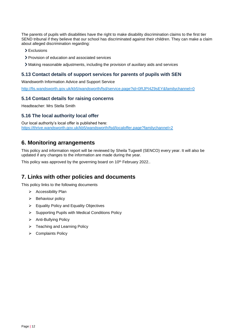The parents of pupils with disabilities have the right to make disability discrimination claims to the first tier SEND tribunal if they believe that our school has discriminated against their children. They can make a claim about alleged discrimination regarding:

- > Exclusions
- Provision of education and associated services
- Making reasonable adjustments, including the provision of auxiliary aids and services

### **5.13 Contact details of support services for parents of pupils with SEN**

Wandsworth Information Advice and Support Service

<http://fis.wandsworth.gov.uk/kb5/wandsworth/fsd/service.page?id=0RJPI4Z9sEY&familychannel=0>

#### **5.14 Contact details for raising concerns**

Headteacher: Mrs Stella Smith

#### **5.16 The local authority local offer**

Our local authority's local offer is published here: <https://thrive.wandsworth.gov.uk/kb5/wandsworth/fsd/localoffer.page?familychannel=2>

## <span id="page-11-0"></span>**6. Monitoring arrangements**

This policy and information report will be reviewed by Sheila Tugwell (SENCO) every year. It will also be updated if any changes to the information are made during the year.

This policy was approved by the governing board on 10<sup>th</sup> February 2022..

## <span id="page-11-1"></span>**7. Links with other policies and documents**

This policy links to the following documents

- ➢ Accessibility Plan
- ➢ Behaviour policy
- ➢ Equality Policy and Equality Objectives
- ➢ Supporting Pupils with Medical Conditions Policy
- ➢ Anti-Bullying Policy
- ➢ Teaching and Learning Policy
- ➢ Complaints Policy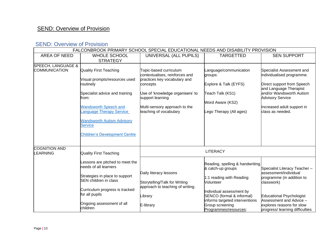# **SEND: Overview of Provision**

# SEND: Overview of Provision

| FALCONBROOK PRIMARY SCHOOL SPECIAL EDUCATIONAL NEEDS AND DISABILITY PROVISION |                                                                                                                                                                                                                                                                           |                                                                                                                                                                                                                         |                                                                                                                                                                                                                                      |                                                                                                                                                                                                                          |  |
|-------------------------------------------------------------------------------|---------------------------------------------------------------------------------------------------------------------------------------------------------------------------------------------------------------------------------------------------------------------------|-------------------------------------------------------------------------------------------------------------------------------------------------------------------------------------------------------------------------|--------------------------------------------------------------------------------------------------------------------------------------------------------------------------------------------------------------------------------------|--------------------------------------------------------------------------------------------------------------------------------------------------------------------------------------------------------------------------|--|
| <b>AREA OF NEED</b>                                                           | <b>WHOLE SCHOOL</b><br><b>STRATEGY</b>                                                                                                                                                                                                                                    | UNIVERSAL (ALL PUPILS)                                                                                                                                                                                                  | <b>TARGETTED</b>                                                                                                                                                                                                                     | <b>SEN SUPPORT</b>                                                                                                                                                                                                       |  |
| SPEECH, LANGUAGE &<br>COMMUNICATION                                           | Quality First Teaching<br>Visual prompts/resources used<br>routinely<br>Specialist advice and training<br>from:<br><b>Wandsworth Speech and</b><br>anguage Therapy Service<br><b>Wandsworth Autism Advisory</b><br><b>Service</b><br><b>Children's Development Centre</b> | Topic-based curriculum<br>contextualises, reinforces and<br>practices key vocabulary and<br>concepts<br>Use of 'knowledge organisers' to<br>support learning<br>Multi-sensory approach to the<br>teaching of vocabulary | Language/communication<br>groups:<br>Explore & Talk (EYFS)<br>Teach Talk (KS1)<br>Word Aware (KS2)<br>Lego Therapy (All ages)                                                                                                        | Specialist Assessment and<br>individualised programme.<br>Direct support from Speech<br>and Language Therapist<br>and/or Wandsworth Autism<br><b>Advisory Service</b><br>Increased adult support in<br>class as needed.  |  |
| <b>COGNITION AND</b><br><b>EARNING</b>                                        | Quality First Teaching                                                                                                                                                                                                                                                    | <b>LITERACY</b>                                                                                                                                                                                                         |                                                                                                                                                                                                                                      |                                                                                                                                                                                                                          |  |
|                                                                               | Lessons are pitched to meet the<br>needs of all learners<br>Strategies in place to support<br><b>SEN</b> children in class<br>Curriculum progress is tracked<br>for all pupils<br>Ongoing assessment of all<br>children                                                   | Daily literacy lessons<br>Storytelling/Talk for Writing<br>approach to teaching of writing.<br>Library<br>E-library                                                                                                     | Reading, spelling & handwriting<br>& catch-up groups<br>1:1 reading with Reading<br>Volunteer<br>Individual assessment by<br>SENCO (formal & informal)<br>informs targeted interventions<br>Group screening<br>Programmes/resources: | Specialist Literacy Teacher -<br>assessment/individual<br>programme (in addition to<br>classwork)<br>Educational Psychologist<br>Assessment and Advice -<br>explores reasons for slow<br>progress/ learning difficulties |  |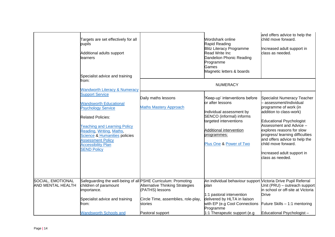|                                                      | Targets are set effectively for all<br>pupils<br>Additional adults support<br>learners<br>Specialist advice and training                                                                                                                                                                                       |                                                                                                  | Wordshark online<br>Rapid Reading<br><b>Blitz Literacy Programme</b><br><b>Read Write Inc</b><br>Dandelion Phonic Reading<br>Programme<br>Games<br>Magnetic letters & boards                              | and offers advice to help the<br>child move forward.<br>Increased adult support in<br>class as needed.                                                                                                                                                                                                                                    |
|------------------------------------------------------|----------------------------------------------------------------------------------------------------------------------------------------------------------------------------------------------------------------------------------------------------------------------------------------------------------------|--------------------------------------------------------------------------------------------------|-----------------------------------------------------------------------------------------------------------------------------------------------------------------------------------------------------------|-------------------------------------------------------------------------------------------------------------------------------------------------------------------------------------------------------------------------------------------------------------------------------------------------------------------------------------------|
|                                                      | from:<br><b>Wandworth Literacy &amp; Numeracy</b>                                                                                                                                                                                                                                                              |                                                                                                  | <b>NUMERACY</b>                                                                                                                                                                                           |                                                                                                                                                                                                                                                                                                                                           |
|                                                      | <b>Support Service</b><br><b>Wandsworth Educational</b><br><b>Psychology Service</b><br><b>Related Policies:</b><br><b>Teaching and Learning Policy</b><br>Reading, Writing, Maths,<br><b>Science &amp; Humanities policies</b><br><b>Assessment Policy</b><br><b>Accessibility Plan</b><br><b>SEND Policy</b> | Daily maths lessons<br><b>Maths Mastery Approach</b>                                             | 'Keep-up' interventions before<br>or after lessons<br>Individual assessment by<br>SENCO (informal) informs<br>targeted interventions<br>Additional intervention<br>programmes:<br>Plus One & Power of Two | Specialist Numeracy Teacher<br>assessment/individual<br>programme of work (in<br>addition to class-work)<br>Educational Psychologist<br>Assessment and Advice -<br>explores reasons for slow<br>progress/ learning difficulties<br>and offers advice to help the<br>child move forward.<br>Increased adult support in<br>class as needed. |
| <b>SOCIAL, EMOTIONAL</b><br><b>AND MENTAL HEALTH</b> | Safeguarding the well-being of all PSHE Curriculum: Promoting<br>children of paramount<br>importance.<br>Specialist advice and training                                                                                                                                                                        | <b>Alternative Thinking Strategies</b><br>(PATHS) lessons<br>Circle Time, assemblies, role-play, | An individual behaviour support Victoria Drive Pupil Referral<br>plan<br>1:1 pastoral intervention<br>delivered by HLTA in liaison                                                                        | Unit (PRU) - outreach support<br>in school or off-site at Victoria<br><b>Drive</b>                                                                                                                                                                                                                                                        |
|                                                      | from:<br><b>Wandsworth Schools and</b>                                                                                                                                                                                                                                                                         | stories<br>Pastoral support                                                                      | with EP (e.g Cool Connections<br>Programme<br>1:1 Therapeutic support (e.g.                                                                                                                               | Future Skills - 1:1 mentoring<br>Educational Psychologist-                                                                                                                                                                                                                                                                                |